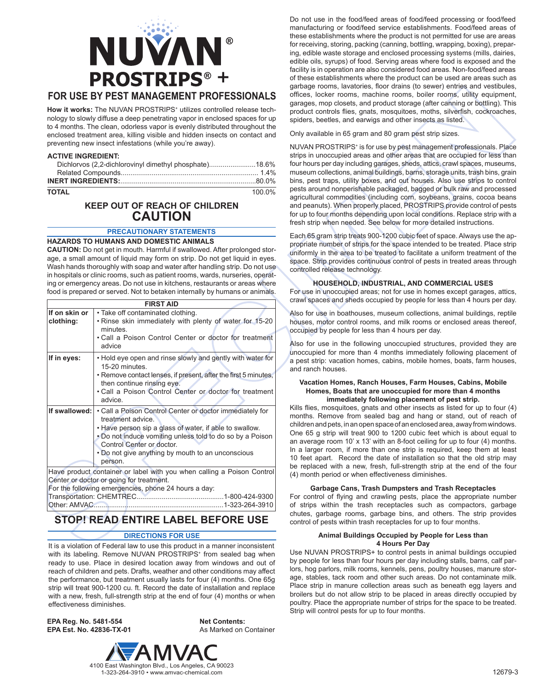

# **FOR USE BY PEST MANAGEMENT PROFESSIONALS**

How it works: The NUVAN PROSTRIPS<sup>+</sup> utilizes controlled release technology to slowly diffuse a deep penetrating vapor in enclosed spaces for up to 4 months. The clean, odorless vapor is evenly distributed throughout the enclosed treatment area, killing visible and hidden insects on contact and preventing new insect infestations (while you're away).

### **ACTIVE INGREDIENT:**

| Dichlorvos (2,2-dichlorovinyl dimethyl phosphate)18.6% |  |
|--------------------------------------------------------|--|
|                                                        |  |

**TOTAL** 100.0%

# **KEEP OUT OF REACH OF CHILDREN CAUTION**

# **PRECAUTIONARY STATEMENTS**

### **HAZARDS TO HUMANS AND DOMESTIC ANIMALS**

**CAUTION:** Do not get in mouth. Harmful if swallowed. After prolonged storage, a small amount of liquid may form on strip. Do not get liquid in eyes. Wash hands thoroughly with soap and water after handling strip. Do not use in hospitals or clinic rooms, such as patient rooms, wards, nurseries, operating or emergency areas. Do not use in kitchens, restaurants or areas where food is prepared or served. Not to betaken internally by humans or animals.

| <b>FIRST AID</b>           |                                                                                                                                                                                                                                                                                                    |  |
|----------------------------|----------------------------------------------------------------------------------------------------------------------------------------------------------------------------------------------------------------------------------------------------------------------------------------------------|--|
| If on skin or<br>clothing: | • Take off contaminated clothing.<br>. Rinse skin immediately with plenty of water for 15-20<br>minutes.<br>. Call a Poison Control Center or doctor for treatment<br>advice                                                                                                                       |  |
| If in eyes:                | . Hold eye open and rinse slowly and gently with water for<br>15-20 minutes.<br>• Remove contact lenses, if present, after the first 5 minutes,<br>then continue rinsing eye.<br>. Call a Poison Control Center or doctor for treatment<br>advice.                                                 |  |
| If swallowed:              | • Call a Poison Control Center or doctor immediately for<br>treatment advice.<br>. Have person sip a glass of water, if able to swallow.<br>• Do not induce vomiting unless told to do so by a Poison<br>Control Center or doctor.<br>. Do not give anything by mouth to an unconscious<br>person. |  |
| Transportation: CHEMTREC.  | Have product container or label with you when calling a Poison Control<br>Center or doctor or going for treatment.<br>For the following emergencies, phone 24 hours a day:<br>1-800-424-9300                                                                                                       |  |

# **STOP! READ ENTIRE LABEL BEFORE USE** Other: AMVAC................................................................... 1-323-264-3910

### **DIRECTIONS FOR USE**

It is a violation of Federal law to use this product in a manner inconsistent with its labeling. Remove NUVAN PROSTRIPS<sup>+</sup> from sealed bag when ready to use. Place in desired location away from windows and out of reach of children and pets. Drafts, weather and other conditions may affect the performance, but treatment usually lasts for four (4) months. One 65g strip will treat 900-1200 cu. ft. Record the date of installation and replace with a new, fresh, full-strength strip at the end of four (4) months or when effectiveness diminishes.

**EPA Reg. No. 5481-554 EPA Est. No. 42836-TX-01**

**Net Contents:** As Marked on Container



Do not use in the food/feed areas of food/feed processing or food/feed manufacturing or food/feed service establishments. Food/feed areas of these establishments where the product is not permitted for use are areas for receiving, storing, packing (canning, bottling, wrapping, boxing), preparing, edible waste storage and enclosed processing systems (mills, dairies, edible oils, syrups) of food. Serving areas where food is exposed and the facility is in operation are also considered food areas. Non-food/feed areas of these establishments where the product can be used are areas such as garbage rooms, lavatories, floor drains (to sewer) entries and vestibules, offices, locker rooms, machine rooms, boiler rooms, utility equipment, garages, mop closets, and product storage (after canning or bottling). This product controls flies, gnats, mosquitoes, moths, silverfish, cockroaches, spiders, beetles, and earwigs and other insects as listed.

Only available in 65 gram and 80 gram pest strip sizes.

NUVAN PROSTRIPS<sup>+</sup> is for use by pest management professionals. Place strips in unoccupied areas and other areas that are occupied for less than four hours per day including garages, sheds, attics, crawl spaces, museums, museum collections, animal buildings, barns, storage units, trash bins, grain bins, pest traps, utility boxes, and out houses. Also use strips to control pests around nonperishable packaged, bagged or bulk raw and processed agricultural commodities (including corn, soybeans, grains, cocoa beans and peanuts). When properly placed, PROSTRIPS provide control of pests for up to four months depending upon local conditions. Replace strip with a fresh strip when needed. See below for more detailed instructions.

Each 65 gram strip treats 900-1200 cubic feet of space. Always use the appropriate number of strips for the space intended to be treated. Place strip uniformly in the area to be treated to facilitate a uniform treatment of the space. Strip provides continuous control of pests in treated areas through controlled release technology.

## **HOUSEHOLD, INDUSTRIAL, AND COMMERCIAL USES**

For use in unoccupied areas; not for use in homes except garages, attics, crawl spaces and sheds occupied by people for less than 4 hours per day.

Also for use in boathouses, museum collections, animal buildings, reptile houses, motor control rooms, and milk rooms or enclosed areas thereof, occupied by people for less than 4 hours per day.

Also for use in the following unoccupied structures, provided they are unoccupied for more than 4 months immediately following placement of a pest strip: vacation homes, cabins, mobile homes, boats, farm houses, and ranch houses.

### **Vacation Homes, Ranch Houses, Farm Houses, Cabins, Mobile Homes, Boats that are unoccupied for more than 4 months immediately following placement of pest strip.**

Kills flies, mosquitoes, gnats and other insects as listed for up to four (4) months. Remove from sealed bag and hang or stand, out of reach of children and pets, in an open space of an enclosed area, away from windows. One 65 g strip will treat 900 to 1200 cubic feet which is about equal to an average room 10' x 13' with an 8-foot ceiling for up to four (4) months. In a larger room, if more than one strip is required, keep them at least 10 feet apart. Record the date of installation so that the old strip may be replaced with a new, fresh, full-strength strip at the end of the four (4) month period or when effectiveness diminishes.

# **Garbage Cans, Trash Dumpsters and Trash Receptacles**

For control of flying and crawling pests, place the appropriate number of strips within the trash receptacles such as compactors, garbage chutes, garbage rooms, garbage bins, and others. The strip provides control of pests within trash receptacles for up to four months.

### **Animal Buildings Occupied by People for Less than 4 Hours Per Day**

Use NUVAN PROSTRIPS+ to control pests in animal buildings occupied by people for less than four hours per day including stalls, barns, calf parlors, hog parlors, milk rooms, kennels, pens, poultry houses, manure storage, stables, tack room and other such areas. Do not contaminate milk. Place strip in manure collection areas such as beneath egg layers and broilers but do not allow strip to be placed in areas directly occupied by poultry. Place the appropriate number of strips for the space to be treated. Strip will control pests for up to four months.